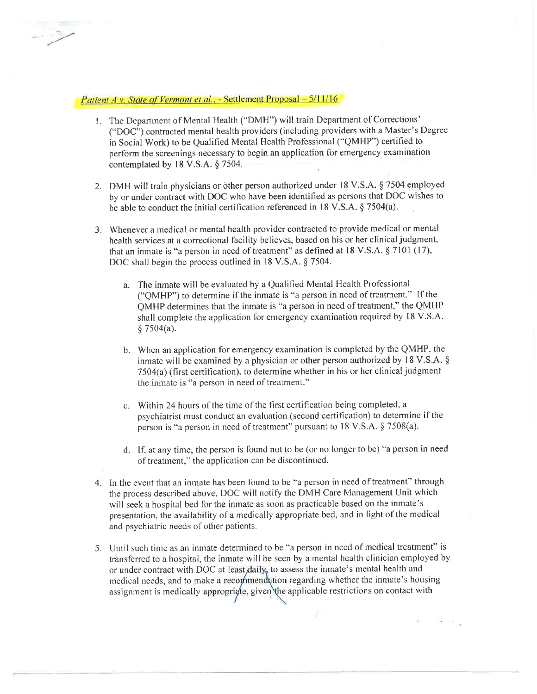## Patient A v. State of Vermont et al., - Settlement Proposal - 5/11/16

- <sup>l</sup>. The Department of Mental Health ("DMH") will train Department of Corrections' ("DOC") contracted mental health providers (including providers with a Master's Degree in Social Work) to be Qualified Mental Health Professional ("QMHP") certified to perform the screenings necessary to begin an application for emergency examination contemplated by l8 V.S.A. \$ 7504.
- 2. DMH will train physicians or bther person authorized under l8 V.S.A. \$ 7504 employed by or under contract with DOC who have been identified as persons that DOC wishes to be able to conduct the initial certification referenced in 18 V.S.A.  $\S 7504(a)$ .
- 3. Whenever a rnedical or mental health provider contracted to provide medical or mental health services at a correctional facility believes, based on his or her clinical judgment, that an inmate is "a person in need of treatment" as defined at  $18$  V.S.A.  $\S$  7101 (17), DOC shall begin the process outlined in 18 V.S.A. § 7504.
	- a. The inmate will be evaluated by a Qualified Mental Health Professional ("QMHP") to determine if the inmate is "a person in need of treatment." [f the QMHP determines that the inmate is "a person in need of treatment," the QMHP shall complete the application for emergency examination required by 18 V.S.A. \$ 7504(a).
	- b. When an application for emergency examination is completed by the QMHP, the inmate will be examined by a physician or other person authorized by l8 V.S.A. \$ 7504(a) (tirst certitication), to determine whether in his or her clinical judgment the inmate is "a person in need of treatment."
	- c. Within 24 hours of the time of the first certification being completed, a psychiatrist must conduct an evaluation (second certification) to determine if the person is "a person in need of treatment" pursuant to l8 V.S.A. \$ 7508(a).
	- d. If, at any time, the person is found not to be (or no longer to be) "a person in need of treatment," the application can be discontinued.
- 4. In the event that an inmate has been found to be "a person in need of treatment" through the process described above, DOC will notify the DMH Care Management Unit which will seek a hospital bed for the inmate as soon as practicable based on the inmate's presentation, the availability of a medically appropriate bed, and in light of the medical and psychiatric needs of other patients.
- 5. Until such time as an inmate determined to be "a person in need of medical treatment" is transferred to a hospital, the inmate will be seen by a mental health clinician employed by or under contract with DOC at least  $\frac{1}{4}$  to assess the inmate's mental health and medical needs, and to make a recommendation regarding whether the inmate's housing assignment is medically appropriate, given the applicable restrictions on contact with